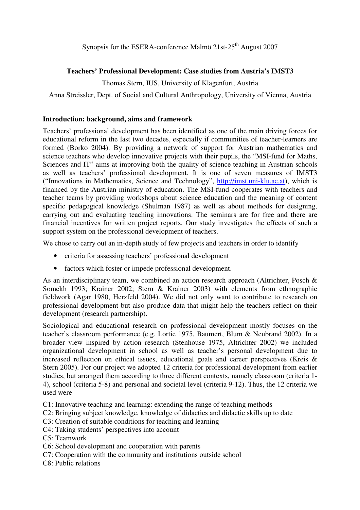## **Teachers' Professional Development: Case studies from Austria's IMST3**

Thomas Stern, IUS, University of Klagenfurt, Austria

Anna Streissler, Dept. of Social and Cultural Anthropology, University of Vienna, Austria

#### **Introduction: background, aims and framework**

Teachers' professional development has been identified as one of the main driving forces for educational reform in the last two decades, especially if communities of teacher-learners are formed (Borko 2004). By providing a network of support for Austrian mathematics and science teachers who develop innovative projects with their pupils, the "MSI-fund for Maths, Sciences and IT" aims at improving both the quality of science teaching in Austrian schools as well as teachers' professional development. It is one of seven measures of IMST3 ("Innovations in Mathematics, Science and Technology", http://imst.uni-klu.ac.at), which is financed by the Austrian ministry of education. The MSI-fund cooperates with teachers and teacher teams by providing workshops about science education and the meaning of content specific pedagogical knowledge (Shulman 1987) as well as about methods for designing, carrying out and evaluating teaching innovations. The seminars are for free and there are financial incentives for written project reports. Our study investigates the effects of such a support system on the professional development of teachers.

We chose to carry out an in-depth study of few projects and teachers in order to identify

- criteria for assessing teachers' professional development
- factors which foster or impede professional development.

As an interdisciplinary team, we combined an action research approach (Altrichter, Posch & Somekh 1993; Krainer 2002; Stern & Krainer 2003) with elements from ethnographic fieldwork (Agar 1980, Herzfeld 2004). We did not only want to contribute to research on professional development but also produce data that might help the teachers reflect on their development (research partnership).

Sociological and educational research on professional development mostly focuses on the teacher's classroom performance (e.g. Lortie 1975, Baumert, Blum & Neubrand 2002). In a broader view inspired by action research (Stenhouse 1975, Altrichter 2002) we included organizational development in school as well as teacher's personal development due to increased reflection on ethical issues, educational goals and career perspectives (Kreis & Stern 2005). For our project we adopted 12 criteria for professional development from earlier studies, but arranged them according to three different contexts, namely classroom (criteria 1- 4), school (criteria 5-8) and personal and societal level (criteria 9-12). Thus, the 12 criteria we used were

C1: Innovative teaching and learning: extending the range of teaching methods

- C2: Bringing subject knowledge, knowledge of didactics and didactic skills up to date
- C3: Creation of suitable conditions for teaching and learning
- C4: Taking students' perspectives into account
- C5: Teamwork
- C6: School development and cooperation with parents
- C7: Cooperation with the community and institutions outside school
- C8: Public relations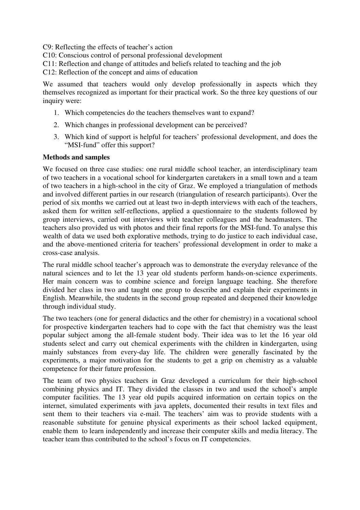C9: Reflecting the effects of teacher's action

C10: Conscious control of personal professional development

C11: Reflection and change of attitudes and beliefs related to teaching and the job

C12: Reflection of the concept and aims of education

We assumed that teachers would only develop professionally in aspects which they themselves recognized as important for their practical work. So the three key questions of our inquiry were:

- 1. Which competencies do the teachers themselves want to expand?
- 2. Which changes in professional development can be perceived?
- 3. Which kind of support is helpful for teachers' professional development, and does the "MSI-fund" offer this support?

#### **Methods and samples**

We focused on three case studies: one rural middle school teacher, an interdisciplinary team of two teachers in a vocational school for kindergarten caretakers in a small town and a team of two teachers in a high-school in the city of Graz. We employed a triangulation of methods and involved different parties in our research (triangulation of research participants). Over the period of six months we carried out at least two in-depth interviews with each of the teachers, asked them for written self-reflections, applied a questionnaire to the students followed by group interviews, carried out interviews with teacher colleagues and the headmasters. The teachers also provided us with photos and their final reports for the MSI-fund. To analyse this wealth of data we used both explorative methods, trying to do justice to each individual case, and the above-mentioned criteria for teachers' professional development in order to make a cross-case analysis.

The rural middle school teacher's approach was to demonstrate the everyday relevance of the natural sciences and to let the 13 year old students perform hands-on-science experiments. Her main concern was to combine science and foreign language teaching. She therefore divided her class in two and taught one group to describe and explain their experiments in English. Meanwhile, the students in the second group repeated and deepened their knowledge through individual study.

The two teachers (one for general didactics and the other for chemistry) in a vocational school for prospective kindergarten teachers had to cope with the fact that chemistry was the least popular subject among the all-female student body. Their idea was to let the 16 year old students select and carry out chemical experiments with the children in kindergarten, using mainly substances from every-day life. The children were generally fascinated by the experiments, a major motivation for the students to get a grip on chemistry as a valuable competence for their future profession.

The team of two physics teachers in Graz developed a curriculum for their high-school combining physics and IT. They divided the classes in two and used the school's ample computer facilities. The 13 year old pupils acquired information on certain topics on the internet, simulated experiments with java applets, documented their results in text files and sent them to their teachers via e-mail. The teachers' aim was to provide students with a reasonable substitute for genuine physical experiments as their school lacked equipment, enable them to learn independently and increase their computer skills and media literacy. The teacher team thus contributed to the school's focus on IT competencies.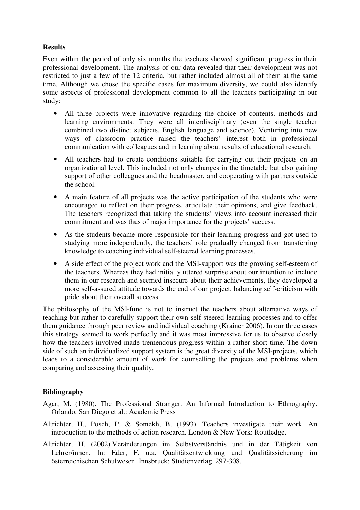# **Results**

Even within the period of only six months the teachers showed significant progress in their professional development. The analysis of our data revealed that their development was not restricted to just a few of the 12 criteria, but rather included almost all of them at the same time. Although we chose the specific cases for maximum diversity, we could also identify some aspects of professional development common to all the teachers participating in our study:

- All three projects were innovative regarding the choice of contents, methods and learning environments. They were all interdisciplinary (even the single teacher combined two distinct subjects, English language and science). Venturing into new ways of classroom practice raised the teachers' interest both in professional communication with colleagues and in learning about results of educational research.
- All teachers had to create conditions suitable for carrying out their projects on an organizational level. This included not only changes in the timetable but also gaining support of other colleagues and the headmaster, and cooperating with partners outside the school.
- A main feature of all projects was the active participation of the students who were encouraged to reflect on their progress, articulate their opinions, and give feedback. The teachers recognized that taking the students' views into account increased their commitment and was thus of major importance for the projects' success.
- As the students became more responsible for their learning progress and got used to studying more independently, the teachers' role gradually changed from transferring knowledge to coaching individual self-steered learning processes.
- A side effect of the project work and the MSI-support was the growing self-esteem of the teachers. Whereas they had initially uttered surprise about our intention to include them in our research and seemed insecure about their achievements, they developed a more self-assured attitude towards the end of our project, balancing self-criticism with pride about their overall success.

The philosophy of the MSI-fund is not to instruct the teachers about alternative ways of teaching but rather to carefully support their own self-steered learning processes and to offer them guidance through peer review and individual coaching (Krainer 2006). In our three cases this strategy seemed to work perfectly and it was most impressive for us to observe closely how the teachers involved made tremendous progress within a rather short time. The down side of such an individualized support system is the great diversity of the MSI-projects, which leads to a considerable amount of work for counselling the projects and problems when comparing and assessing their quality.

### **Bibliography**

- Agar, M. (1980). The Professional Stranger. An Informal Introduction to Ethnography. Orlando, San Diego et al.: Academic Press
- Altrichter, H., Posch, P. & Somekh, B. (1993). Teachers investigate their work. An introduction to the methods of action research. London & New York: Routledge.
- Altrichter, H. (2002).Veränderungen im Selbstverständnis und in der Tätigkeit von Lehrer/innen. In: Eder, F. u.a. Qualitätsentwicklung und Qualitätssicherung im österreichischen Schulwesen. Innsbruck: Studienverlag. 297-308.